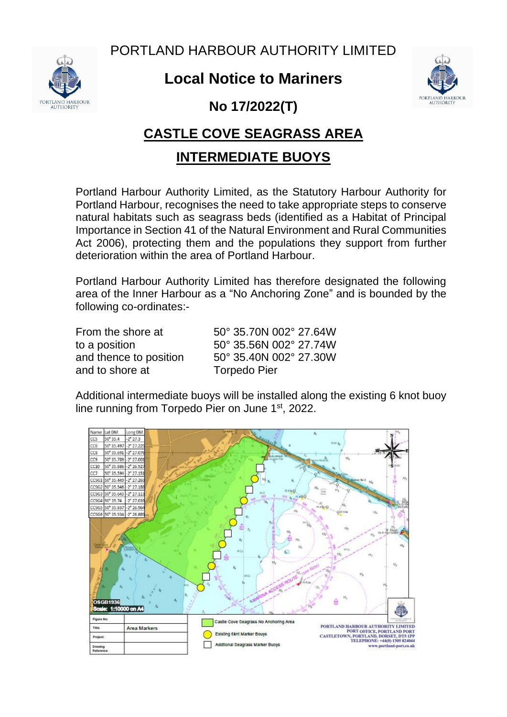PORTLAND HARBOUR AUTHORITY LIMITED



## **Local Notice to Mariners**



**No 17/2022(T)**

## **CASTLE COVE SEAGRASS AREA**

## **INTERMEDIATE BUOYS**

Portland Harbour Authority Limited, as the Statutory Harbour Authority for Portland Harbour, recognises the need to take appropriate steps to conserve natural habitats such as seagrass beds (identified as a Habitat of Principal Importance in Section 41 of the Natural Environment and Rural Communities Act 2006), protecting them and the populations they support from further deterioration within the area of Portland Harbour.

Portland Harbour Authority Limited has therefore designated the following area of the Inner Harbour as a "No Anchoring Zone" and is bounded by the following co-ordinates:-

and to shore at Torpedo Pier

From the shore at  $50^\circ$  35.70N 002 $^\circ$  27.64W to a position 50° 35.56N 002° 27.74W and thence to position 50° 35.40N 002° 27.30W

Additional intermediate buoys will be installed along the existing 6 knot buoy line running from Torpedo Pier on June 1<sup>st</sup>, 2022.